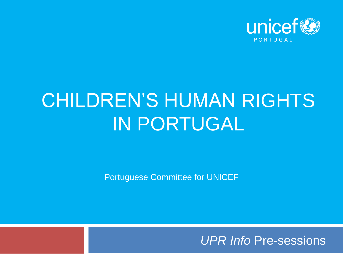

### CHILDREN'S HUMAN RIGHTS IN PORTUGAL

Portuguese Committee for UNICEF

*UPR Info* Pre-sessions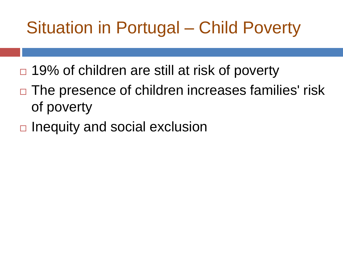#### Situation in Portugal – Child Poverty

- $\Box$  19% of children are still at risk of poverty
- $\Box$  The presence of children increases families' risk of poverty
- $\Box$  Inequity and social exclusion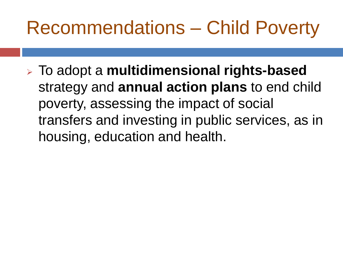### Recommendations – Child Poverty

➢ To adopt a **multidimensional rights-based**  strategy and **annual action plans** to end child poverty, assessing the impact of social transfers and investing in public services, as in housing, education and health.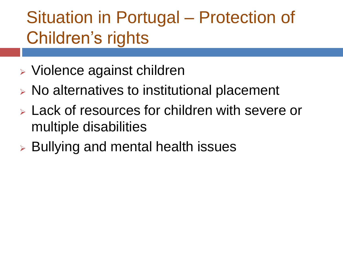#### Situation in Portugal – Protection of Children's rights

- ➢ Violence against children
- ➢ No alternatives to institutional placement
- ➢ Lack of resources for children with severe or multiple disabilities
- ➢ Bullying and mental health issues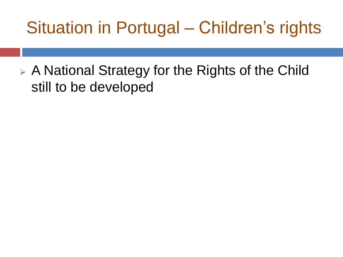#### Situation in Portugal – Children's rights

➢ A National Strategy for the Rights of the Child still to be developed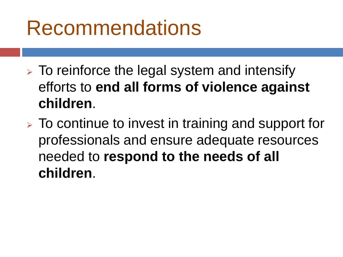## Recommendations

- $\triangleright$  To reinforce the legal system and intensify efforts to **end all forms of violence against children**.
- ➢ To continue to invest in training and support for professionals and ensure adequate resources needed to **respond to the needs of all children**.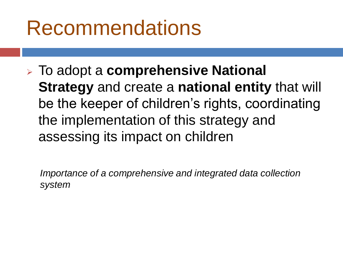## Recommendations

➢ To adopt a **comprehensive National Strategy** and create a **national entity** that will be the keeper of children's rights, coordinating the implementation of this strategy and assessing its impact on children

*Importance of a comprehensive and integrated data collection system*